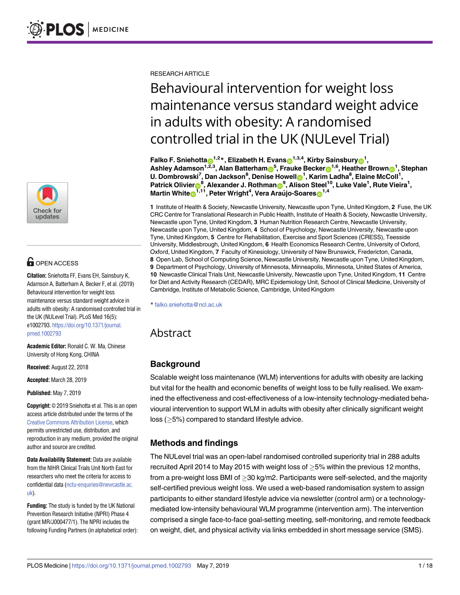

# **OPEN ACCESS**

**Citation:** Sniehotta FF, Evans EH, Sainsbury K, Adamson A, Batterham A, Becker F, et al. (2019) Behavioural intervention for weight loss maintenance versus standard weight advice in adults with obesity: A randomised controlled trial in the UK (NULevel Trial). PLoS Med 16(5): e1002793. [https://doi.org/10.1371/journal.](https://doi.org/10.1371/journal.pmed.1002793) [pmed.1002793](https://doi.org/10.1371/journal.pmed.1002793)

**Academic Editor:** Ronald C. W. Ma, Chinese University of Hong Kong, CHINA

**Received:** August 22, 2018

**Accepted:** March 28, 2019

**Published:** May 7, 2019

**Copyright:** © 2019 Sniehotta et al. This is an open access article distributed under the terms of the Creative Commons [Attribution](http://creativecommons.org/licenses/by/4.0/) License, which permits unrestricted use, distribution, and reproduction in any medium, provided the original author and source are credited.

**Data Availability Statement:** Data are available from the NIHR Clinical Trials Unit North East for researchers who meet the criteria for access to confidential data ([nctu-enquiries@newcastle.ac.](mailto:nctu-enquiries@newcastle.ac.uk) [uk](mailto:nctu-enquiries@newcastle.ac.uk)).

**Funding:** The study is funded by the UK National Prevention Research Initiative (NPRI) Phase 4 (grant MR/J000477/1). The NPRI includes the following Funding Partners (in alphabetical order): RESEARCH ARTICLE

# Behavioural intervention for weight loss maintenance versus standard weight advice in adults with obesity: A randomised controlled trial in the UK (NULevel Trial)

 ${\sf Falko\ F.}$   ${\sf Sniehotta@}^{1,2}$ \*,  ${\sf Elizabeth\ H.}$   ${\sf Evans@}^{1,3,4},$   ${\sf Kirby\ Sainsbury@}^{1},$  $\bullet$  **Adamson** $^{1,2,3}$ **, Alan Batterham** $\bullet$ **<sup>5</sup>, Frauke Becker** $\bullet$ **<sup>1,6</sup>, Heather Brown** $\bullet$ **<sup>1</sup>, Stephan U. Dombrowski7 , Dan Jackson8 , Denise Howel[lID](http://orcid.org/0000-0002-0033-548X)1 , Karim Ladha8 , Elaine McColl1 ,**  $\bullet$  Patrick Olivier $\bullet$ <sup>8</sup>, Alexander J. Rothman $\bullet$ <sup>9</sup>, Alison Steel<sup>10</sup>, Luke Vale<sup>1</sup>, Rute Vieira<sup>1</sup>,  $\mathbf{M}$ artin White $\mathbf{D}^{1,11}$ , Peter Wright $^4$ , Vera Araújo-Soares $\mathbf{D}^{1,4}$ 

**1** Institute of Health & Society, Newcastle University, Newcastle upon Tyne, United Kingdom, **2** Fuse, the UK CRC Centre for Translational Research in Public Health, Institute of Health & Society, Newcastle University, Newcastle upon Tyne, United Kingdom, **3** Human Nutrition Research Centre, Newcastle University, Newcastle upon Tyne, United Kingdom, **4** School of Psychology, Newcastle University, Newcastle upon Tyne, United Kingdom, **5** Centre for Rehabilitation, Exercise and Sport Sciences (CRESS), Teesside University, Middlesbrough, United Kingdom, **6** Health Economics Research Centre, University of Oxford, Oxford, United Kingdom, **7** Faculty of Kinesiology, University of New Brunswick, Fredericton, Canada, **8** Open Lab, School of Computing Science, Newcastle University, Newcastle upon Tyne, United Kingdom, **9** Department of Psychology, University of Minnesota, Minneapolis, Minnesota, United States of America, **10** Newcastle Clinical Trials Unit, Newcastle University, Newcastle upon Tyne, United Kingdom, **11** Centre for Diet and Activity Research (CEDAR), MRC Epidemiology Unit, School of Clinical Medicine, University of Cambridge, Institute of Metabolic Science, Cambridge, United Kingdom

\* falko.sniehotta@ncl.ac.uk

# Abstract

# **Background**

Scalable weight loss maintenance (WLM) interventions for adults with obesity are lacking but vital for the health and economic benefits of weight loss to be fully realised. We examined the effectiveness and cost-effectiveness of a low-intensity technology-mediated behavioural intervention to support WLM in adults with obesity after clinically significant weight loss (�5%) compared to standard lifestyle advice.

# **Methods and findings**

The NULevel trial was an open-label randomised controlled superiority trial in 288 adults recruited April 2014 to May 2015 with weight loss of  $\geq$  5% within the previous 12 months, from a pre-weight loss BMI of  $>$ 30 kg/m2. Participants were self-selected, and the majority self-certified previous weight loss. We used a web-based randomisation system to assign participants to either standard lifestyle advice via newsletter (control arm) or a technologymediated low-intensity behavioural WLM programme (intervention arm). The intervention comprised a single face-to-face goal-setting meeting, self-monitoring, and remote feedback on weight, diet, and physical activity via links embedded in short message service (SMS).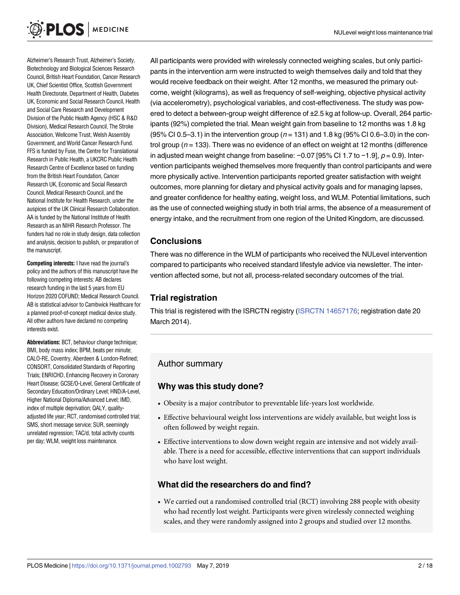Alzheimer's Research Trust, Alzheimer's Society, Biotechnology and Biological Sciences Research Council, British Heart Foundation, Cancer Research UK, Chief Scientist Office, Scottish Government Health Directorate, Department of Health, Diabetes UK, Economic and Social Research Council, Health and Social Care Research and Development Division of the Public Health Agency (HSC & R&D Division), Medical Research Council, The Stroke Association, Wellcome Trust, Welsh Assembly Government, and World Cancer Research Fund. FFS is funded by Fuse, the Centre for Translational Research in Public Health, a UKCRC Public Health Research Centre of Excellence based on funding from the British Heart Foundation, Cancer Research UK, Economic and Social Research Council, Medical Research Council, and the National Institute for Health Research, under the auspices of the UK Clinical Research Collaboration. AA is funded by the National Institute of Health Research as an NIHR Research Professor. The funders had no role in study design, data collection and analysis, decision to publish, or preparation of the manuscript.

**Competing interests:** I have read the journal's policy and the authors of this manuscript have the following competing interests: AB declares research funding in the last 5 years from EU Horizon 2020 COFUND; Medical Research Council. AB is statistical advisor to Cambwick Healthcare for a planned proof-of-concept medical device study. All other authors have declared no competing interests exist.

**Abbreviations:** BCT, behaviour change technique; BMI, body mass index; BPM, beats per minute; CALO-RE, Coventry, Aberdeen & London-Refined; CONSORT, Consolidated Standards of Reporting Trials; ENRICHD, Enhancing Recovery in Coronary Heart Disease; GCSE/O-Level, General Certificate of Secondary Education/Ordinary Level; HND/A-Level, Higher National Diploma/Advanced Level; IMD, index of multiple deprivation; QALY, qualityadjusted life year; RCT, randomised controlled trial; SMS, short message service; SUR, seemingly unrelated regression; TAC/d, total activity counts per day; WLM, weight loss maintenance.

All participants were provided with wirelessly connected weighing scales, but only participants in the intervention arm were instructed to weigh themselves daily and told that they would receive feedback on their weight. After 12 months, we measured the primary outcome, weight (kilograms), as well as frequency of self-weighing, objective physical activity (via accelerometry), psychological variables, and cost-effectiveness. The study was powered to detect a between-group weight difference of ±2.5 kg at follow-up. Overall, 264 participants (92%) completed the trial. Mean weight gain from baseline to 12 months was 1.8 kg (95% CI 0.5–3.1) in the intervention group ( $n = 131$ ) and 1.8 kg (95% CI 0.6–3.0) in the control group ( $n = 133$ ). There was no evidence of an effect on weight at 12 months (difference in adjusted mean weight change from baseline:  $-0.07$  [95% CI 1.7 to  $-1.9$ ],  $p = 0.9$ ). Intervention participants weighed themselves more frequently than control participants and were more physically active. Intervention participants reported greater satisfaction with weight outcomes, more planning for dietary and physical activity goals and for managing lapses, and greater confidence for healthy eating, weight loss, and WLM. Potential limitations, such as the use of connected weighing study in both trial arms, the absence of a measurement of energy intake, and the recruitment from one region of the United Kingdom, are discussed.

# **Conclusions**

There was no difference in the WLM of participants who received the NULevel intervention compared to participants who received standard lifestyle advice via newsletter. The intervention affected some, but not all, process-related secondary outcomes of the trial.

# **Trial registration**

This trial is registered with the ISRCTN registry (ISRCTN [14657176;](http://www.isrctn.com/ISRCTN14657176) registration date 20 March 2014).

# Author summary

# **Why was this study done?**

- Obesity is a major contributor to preventable life-years lost worldwide.
- Effective behavioural weight loss interventions are widely available, but weight loss is often followed by weight regain.
- Effective interventions to slow down weight regain are intensive and not widely available. There is a need for accessible, effective interventions that can support individuals who have lost weight.

# **What did the researchers do and find?**

• We carried out a randomised controlled trial (RCT) involving 288 people with obesity who had recently lost weight. Participants were given wirelessly connected weighing scales, and they were randomly assigned into 2 groups and studied over 12 months.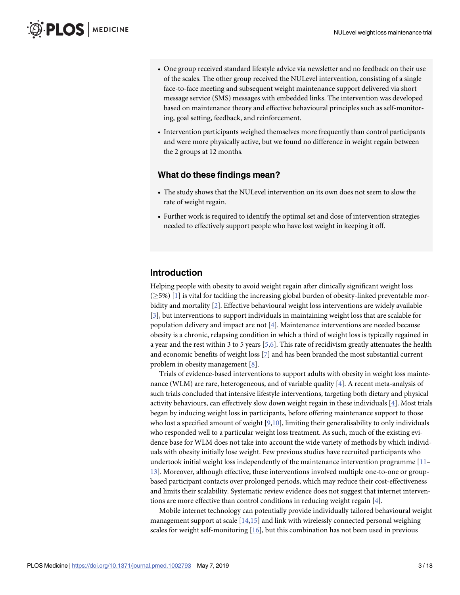- <span id="page-2-0"></span>• One group received standard lifestyle advice via newsletter and no feedback on their use of the scales. The other group received the NULevel intervention, consisting of a single face-to-face meeting and subsequent weight maintenance support delivered via short message service (SMS) messages with embedded links. The intervention was developed based on maintenance theory and effective behavioural principles such as self-monitoring, goal setting, feedback, and reinforcement.
- Intervention participants weighed themselves more frequently than control participants and were more physically active, but we found no difference in weight regain between the 2 groups at 12 months.

### **What do these findings mean?**

- The study shows that the NULevel intervention on its own does not seem to slow the rate of weight regain.
- Further work is required to identify the optimal set and dose of intervention strategies needed to effectively support people who have lost weight in keeping it off.

# **Introduction**

Helping people with obesity to avoid weight regain after clinically significant weight loss  $(25%)$  [\[1](#page-15-0)] is vital for tackling the increasing global burden of obesity-linked preventable morbidity and mortality [\[2](#page-15-0)]. Effective behavioural weight loss interventions are widely available [\[3](#page-15-0)], but interventions to support individuals in maintaining weight loss that are scalable for population delivery and impact are not [[4](#page-15-0)]. Maintenance interventions are needed because obesity is a chronic, relapsing condition in which a third of weight loss is typically regained in a year and the rest within 3 to 5 years [[5](#page-15-0),[6](#page-15-0)]. This rate of recidivism greatly attenuates the health and economic benefits of weight loss [\[7](#page-15-0)] and has been branded the most substantial current problem in obesity management [[8](#page-15-0)].

Trials of evidence-based interventions to support adults with obesity in weight loss maintenance (WLM) are rare, heterogeneous, and of variable quality [\[4](#page-15-0)]. A recent meta-analysis of such trials concluded that intensive lifestyle interventions, targeting both dietary and physical activity behaviours, can effectively slow down weight regain in these individuals [[4\]](#page-15-0). Most trials began by inducing weight loss in participants, before offering maintenance support to those who lost a specified amount of weight [\[9,10\]](#page-15-0), limiting their generalisability to only individuals who responded well to a particular weight loss treatment. As such, much of the existing evidence base for WLM does not take into account the wide variety of methods by which individuals with obesity initially lose weight. Few previous studies have recruited participants who undertook initial weight loss independently of the maintenance intervention programme [[11](#page-15-0)– [13\]](#page-15-0). Moreover, although effective, these interventions involved multiple one-to-one or groupbased participant contacts over prolonged periods, which may reduce their cost-effectiveness and limits their scalability. Systematic review evidence does not suggest that internet interventions are more effective than control conditions in reducing weight regain [[4\]](#page-15-0).

Mobile internet technology can potentially provide individually tailored behavioural weight management support at scale  $[14,15]$  $[14,15]$  and link with wirelessly connected personal weighing scales for weight self-monitoring [[16](#page-15-0)], but this combination has not been used in previous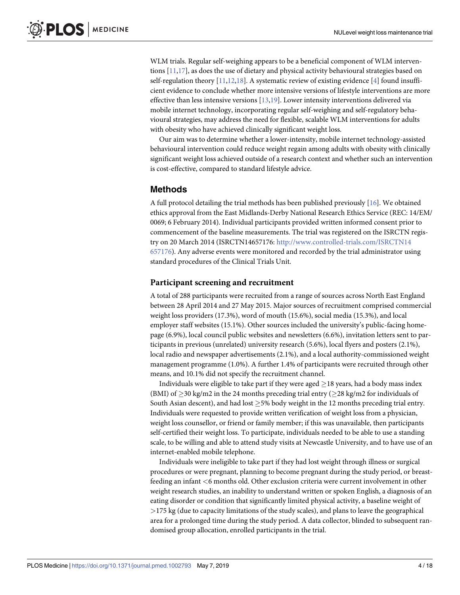<span id="page-3-0"></span>WLM trials. Regular self-weighing appears to be a beneficial component of WLM interventions [\[11](#page-15-0)[,17\]](#page-16-0), as does the use of dietary and physical activity behavioural strategies based on self-regulation theory  $[11,12,18]$  $[11,12,18]$  $[11,12,18]$  $[11,12,18]$ . A systematic review of existing evidence  $[4]$  found insufficient evidence to conclude whether more intensive versions of lifestyle interventions are more effective than less intensive versions [\[13,](#page-15-0)[19](#page-16-0)]. Lower intensity interventions delivered via mobile internet technology, incorporating regular self-weighing and self-regulatory behavioural strategies, may address the need for flexible, scalable WLM interventions for adults with obesity who have achieved clinically significant weight loss.

Our aim was to determine whether a lower-intensity, mobile internet technology-assisted behavioural intervention could reduce weight regain among adults with obesity with clinically significant weight loss achieved outside of a research context and whether such an intervention is cost-effective, compared to standard lifestyle advice.

## **Methods**

A full protocol detailing the trial methods has been published previously [\[16\]](#page-15-0). We obtained ethics approval from the East Midlands-Derby National Research Ethics Service (REC: 14/EM/ 0069; 6 February 2014). Individual participants provided written informed consent prior to commencement of the baseline measurements. The trial was registered on the ISRCTN registry on 20 March 2014 (ISRCTN14657176: [http://www.controlled-trials.com/ISRCTN14](http://www.controlled-trials.com/ISRCTN14657176) [657176\)](http://www.controlled-trials.com/ISRCTN14657176). Any adverse events were monitored and recorded by the trial administrator using standard procedures of the Clinical Trials Unit.

#### **Participant screening and recruitment**

A total of 288 participants were recruited from a range of sources across North East England between 28 April 2014 and 27 May 2015. Major sources of recruitment comprised commercial weight loss providers (17.3%), word of mouth (15.6%), social media (15.3%), and local employer staff websites (15.1%). Other sources included the university's public-facing homepage (6.9%), local council public websites and newsletters (6.6%), invitation letters sent to participants in previous (unrelated) university research (5.6%), local flyers and posters (2.1%), local radio and newspaper advertisements (2.1%), and a local authority-commissioned weight management programme (1.0%). A further 1.4% of participants were recruited through other means, and 10.1% did not specify the recruitment channel.

Individuals were eligible to take part if they were aged  $\geq$  18 years, had a body mass index (BMI) of  $\geq$ 30 kg/m2 in the 24 months preceding trial entry ( $\geq$ 28 kg/m2 for individuals of South Asian descent), and had lost  $>5\%$  body weight in the 12 months preceding trial entry. Individuals were requested to provide written verification of weight loss from a physician, weight loss counsellor, or friend or family member; if this was unavailable, then participants self-certified their weight loss. To participate, individuals needed to be able to use a standing scale, to be willing and able to attend study visits at Newcastle University, and to have use of an internet-enabled mobile telephone.

Individuals were ineligible to take part if they had lost weight through illness or surgical procedures or were pregnant, planning to become pregnant during the study period, or breastfeeding an infant *<*6 months old. Other exclusion criteria were current involvement in other weight research studies, an inability to understand written or spoken English, a diagnosis of an eating disorder or condition that significantly limited physical activity, a baseline weight of *>*175 kg (due to capacity limitations of the study scales), and plans to leave the geographical area for a prolonged time during the study period. A data collector, blinded to subsequent randomised group allocation, enrolled participants in the trial.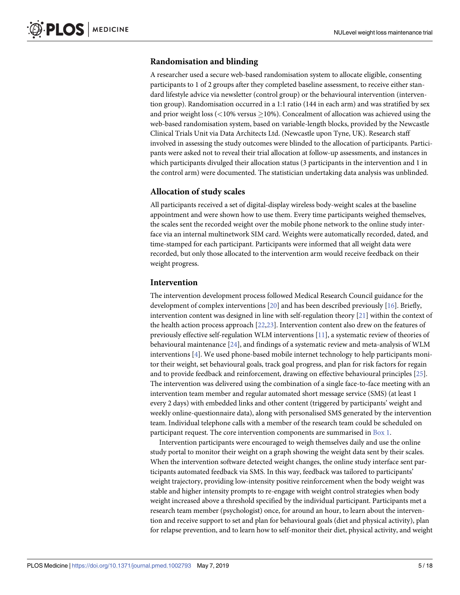# <span id="page-4-0"></span>**Randomisation and blinding**

A researcher used a secure web-based randomisation system to allocate eligible, consenting participants to 1 of 2 groups after they completed baseline assessment, to receive either standard lifestyle advice via newsletter (control group) or the behavioural intervention (intervention group). Randomisation occurred in a 1:1 ratio (144 in each arm) and was stratified by sex and prior weight loss  $\langle$  <10% versus  $\geq$ 10%). Concealment of allocation was achieved using the web-based randomisation system, based on variable-length blocks, provided by the Newcastle Clinical Trials Unit via Data Architects Ltd. (Newcastle upon Tyne, UK). Research staff involved in assessing the study outcomes were blinded to the allocation of participants. Participants were asked not to reveal their trial allocation at follow-up assessments, and instances in which participants divulged their allocation status (3 participants in the intervention and 1 in the control arm) were documented. The statistician undertaking data analysis was unblinded.

### **Allocation of study scales**

All participants received a set of digital-display wireless body-weight scales at the baseline appointment and were shown how to use them. Every time participants weighed themselves, the scales sent the recorded weight over the mobile phone network to the online study interface via an internal multinetwork SIM card. Weights were automatically recorded, dated, and time-stamped for each participant. Participants were informed that all weight data were recorded, but only those allocated to the intervention arm would receive feedback on their weight progress.

### **Intervention**

The intervention development process followed Medical Research Council guidance for the development of complex interventions [\[20\]](#page-16-0) and has been described previously [[16](#page-15-0)]. Briefly, intervention content was designed in line with self-regulation theory [[21](#page-16-0)] within the context of the health action process approach [\[22,23](#page-16-0)]. Intervention content also drew on the features of previously effective self-regulation WLM interventions [\[11\]](#page-15-0), a systematic review of theories of behavioural maintenance [\[24\]](#page-16-0), and findings of a systematic review and meta-analysis of WLM interventions [[4\]](#page-15-0). We used phone-based mobile internet technology to help participants monitor their weight, set behavioural goals, track goal progress, and plan for risk factors for regain and to provide feedback and reinforcement, drawing on effective behavioural principles [\[25\]](#page-16-0). The intervention was delivered using the combination of a single face-to-face meeting with an intervention team member and regular automated short message service (SMS) (at least 1 every 2 days) with embedded links and other content (triggered by participants' weight and weekly online-questionnaire data), along with personalised SMS generated by the intervention team. Individual telephone calls with a member of the research team could be scheduled on participant request. The core intervention components are summarised in [Box](#page-5-0) 1.

Intervention participants were encouraged to weigh themselves daily and use the online study portal to monitor their weight on a graph showing the weight data sent by their scales. When the intervention software detected weight changes, the online study interface sent participants automated feedback via SMS. In this way, feedback was tailored to participants' weight trajectory, providing low-intensity positive reinforcement when the body weight was stable and higher intensity prompts to re-engage with weight control strategies when body weight increased above a threshold specified by the individual participant. Participants met a research team member (psychologist) once, for around an hour, to learn about the intervention and receive support to set and plan for behavioural goals (diet and physical activity), plan for relapse prevention, and to learn how to self-monitor their diet, physical activity, and weight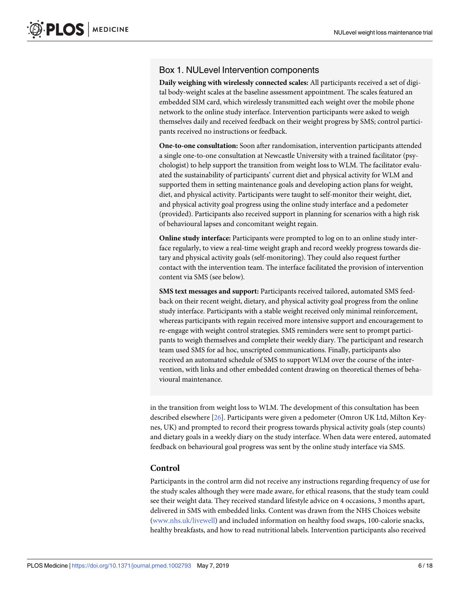# <span id="page-5-0"></span>Box 1. NULevel Intervention components

**Daily weighing with wirelessly connected scales:** All participants received a set of digital body-weight scales at the baseline assessment appointment. The scales featured an embedded SIM card, which wirelessly transmitted each weight over the mobile phone network to the online study interface. Intervention participants were asked to weigh themselves daily and received feedback on their weight progress by SMS; control participants received no instructions or feedback.

**One-to-one consultation:** Soon after randomisation, intervention participants attended a single one-to-one consultation at Newcastle University with a trained facilitator (psychologist) to help support the transition from weight loss to WLM. The facilitator evaluated the sustainability of participants' current diet and physical activity for WLM and supported them in setting maintenance goals and developing action plans for weight, diet, and physical activity. Participants were taught to self-monitor their weight, diet, and physical activity goal progress using the online study interface and a pedometer (provided). Participants also received support in planning for scenarios with a high risk of behavioural lapses and concomitant weight regain.

**Online study interface:** Participants were prompted to log on to an online study interface regularly, to view a real-time weight graph and record weekly progress towards dietary and physical activity goals (self-monitoring). They could also request further contact with the intervention team. The interface facilitated the provision of intervention content via SMS (see below).

**SMS text messages and support:** Participants received tailored, automated SMS feedback on their recent weight, dietary, and physical activity goal progress from the online study interface. Participants with a stable weight received only minimal reinforcement, whereas participants with regain received more intensive support and encouragement to re-engage with weight control strategies. SMS reminders were sent to prompt participants to weigh themselves and complete their weekly diary. The participant and research team used SMS for ad hoc, unscripted communications. Finally, participants also received an automated schedule of SMS to support WLM over the course of the intervention, with links and other embedded content drawing on theoretical themes of behavioural maintenance.

in the transition from weight loss to WLM. The development of this consultation has been described elsewhere [\[26](#page-16-0)]. Participants were given a pedometer (Omron UK Ltd, Milton Keynes, UK) and prompted to record their progress towards physical activity goals (step counts) and dietary goals in a weekly diary on the study interface. When data were entered, automated feedback on behavioural goal progress was sent by the online study interface via SMS.

## **Control**

Participants in the control arm did not receive any instructions regarding frequency of use for the study scales although they were made aware, for ethical reasons, that the study team could see their weight data. They received standard lifestyle advice on 4 occasions, 3 months apart, delivered in SMS with embedded links. Content was drawn from the NHS Choices website [\(www.nhs.uk/livewell](http://www.nhs.uk/livewell)) and included information on healthy food swaps, 100-calorie snacks, healthy breakfasts, and how to read nutritional labels. Intervention participants also received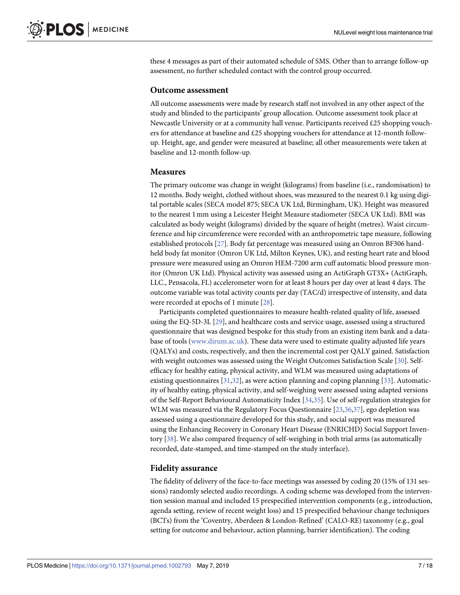<span id="page-6-0"></span>these 4 messages as part of their automated schedule of SMS. Other than to arrange follow-up assessment, no further scheduled contact with the control group occurred.

#### **Outcome assessment**

All outcome assessments were made by research staff not involved in any other aspect of the study and blinded to the participants' group allocation. Outcome assessment took place at Newcastle University or at a community hall venue. Participants received £25 shopping vouchers for attendance at baseline and £25 shopping vouchers for attendance at 12-month followup. Height, age, and gender were measured at baseline; all other measurements were taken at baseline and 12-month follow-up.

#### **Measures**

The primary outcome was change in weight (kilograms) from baseline (i.e., randomisation) to 12 months. Body weight, clothed without shoes, was measured to the nearest 0.1 kg using digital portable scales (SECA model 875; SECA UK Ltd, Birmingham, UK). Height was measured to the nearest 1mm using a Leicester Height Measure stadiometer (SECA UK Ltd). BMI was calculated as body weight (kilograms) divided by the square of height (metres). Waist circumference and hip circumference were recorded with an anthropometric tape measure, following established protocols [[27](#page-16-0)]. Body fat percentage was measured using an Omron BF306 handheld body fat monitor (Omron UK Ltd, Milton Keynes, UK), and resting heart rate and blood pressure were measured using an Omron HEM-7200 arm cuff automatic blood pressure monitor (Omron UK Ltd). Physical activity was assessed using an ActiGraph GT3X+ (ActiGraph, LLC., Pensacola, FL) accelerometer worn for at least 8 hours per day over at least 4 days. The outcome variable was total activity counts per day (TAC/d) irrespective of intensity, and data were recorded at epochs of 1 minute [\[28\]](#page-16-0).

Participants completed questionnaires to measure health-related quality of life, assessed using the EQ-5D-3L [[29](#page-16-0)], and healthcare costs and service usage, assessed using a structured questionnaire that was designed bespoke for this study from an existing item bank and a database of tools [\(www.dirum.ac.uk\)](http://www.dirum.ac.uk/). These data were used to estimate quality adjusted life years (QALYs) and costs, respectively, and then the incremental cost per QALY gained. Satisfaction with weight outcomes was assessed using the Weight Outcomes Satisfaction Scale [[30](#page-16-0)]. Selfefficacy for healthy eating, physical activity, and WLM was measured using adaptations of existing questionnaires  $[31,32]$ , as were action planning and coping planning  $[33]$  $[33]$  $[33]$ . Automaticity of healthy eating, physical activity, and self-weighing were assessed using adapted versions of the Self-Report Behavioural Automaticity Index [[34](#page-16-0),[35](#page-16-0)]. Use of self-regulation strategies for WLM was measured via the Regulatory Focus Questionnaire [[23](#page-16-0),[36,37\]](#page-16-0), ego depletion was assessed using a questionnaire developed for this study, and social support was measured using the Enhancing Recovery in Coronary Heart Disease (ENRICHD) Social Support Inventory [[38](#page-16-0)]. We also compared frequency of self-weighing in both trial arms (as automatically recorded, date-stamped, and time-stamped on the study interface).

#### **Fidelity assurance**

The fidelity of delivery of the face-to-face meetings was assessed by coding 20 (15% of 131 sessions) randomly selected audio recordings. A coding scheme was developed from the intervention session manual and included 15 prespecified intervention components (e.g., introduction, agenda setting, review of recent weight loss) and 15 prespecified behaviour change techniques (BCTs) from the 'Coventry, Aberdeen & London-Refined' (CALO-RE) taxonomy (e.g., goal setting for outcome and behaviour, action planning, barrier identification). The coding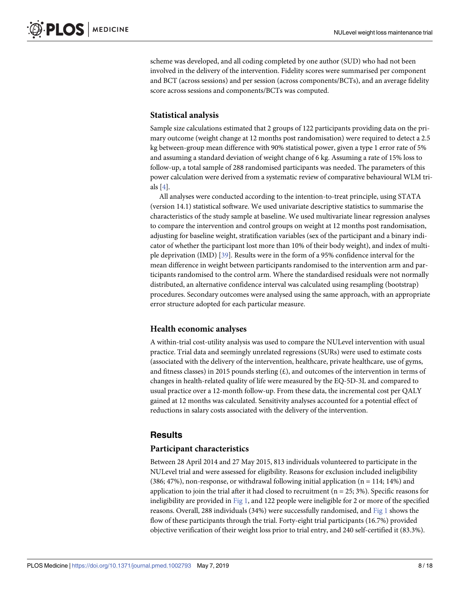<span id="page-7-0"></span>scheme was developed, and all coding completed by one author (SUD) who had not been involved in the delivery of the intervention. Fidelity scores were summarised per component and BCT (across sessions) and per session (across components/BCTs), and an average fidelity score across sessions and components/BCTs was computed.

# **Statistical analysis**

Sample size calculations estimated that 2 groups of 122 participants providing data on the primary outcome (weight change at 12 months post randomisation) were required to detect a 2.5 kg between-group mean difference with 90% statistical power, given a type 1 error rate of 5% and assuming a standard deviation of weight change of 6 kg. Assuming a rate of 15% loss to follow-up, a total sample of 288 randomised participants was needed. The parameters of this power calculation were derived from a systematic review of comparative behavioural WLM trials [\[4\]](#page-15-0).

All analyses were conducted according to the intention-to-treat principle, using STATA (version 14.1) statistical software. We used univariate descriptive statistics to summarise the characteristics of the study sample at baseline. We used multivariate linear regression analyses to compare the intervention and control groups on weight at 12 months post randomisation, adjusting for baseline weight, stratification variables (sex of the participant and a binary indicator of whether the participant lost more than 10% of their body weight), and index of multiple deprivation (IMD) [[39](#page-17-0)]. Results were in the form of a 95% confidence interval for the mean difference in weight between participants randomised to the intervention arm and participants randomised to the control arm. Where the standardised residuals were not normally distributed, an alternative confidence interval was calculated using resampling (bootstrap) procedures. Secondary outcomes were analysed using the same approach, with an appropriate error structure adopted for each particular measure.

## **Health economic analyses**

A within-trial cost-utility analysis was used to compare the NULevel intervention with usual practice. Trial data and seemingly unrelated regressions (SURs) were used to estimate costs (associated with the delivery of the intervention, healthcare, private healthcare, use of gyms, and fitness classes) in 2015 pounds sterling  $(E)$ , and outcomes of the intervention in terms of changes in health-related quality of life were measured by the EQ-5D-3L and compared to usual practice over a 12-month follow-up. From these data, the incremental cost per QALY gained at 12 months was calculated. Sensitivity analyses accounted for a potential effect of reductions in salary costs associated with the delivery of the intervention.

# **Results**

# **Participant characteristics**

Between 28 April 2014 and 27 May 2015, 813 individuals volunteered to participate in the NULevel trial and were assessed for eligibility. Reasons for exclusion included ineligibility  $(386; 47%)$ , non-response, or withdrawal following initial application (n = 114; 14%) and application to join the trial after it had closed to recruitment  $(n = 25, 3\%)$ . Specific reasons for ineligibility are provided in [Fig](#page-8-0) 1, and 122 people were ineligible for 2 or more of the specified reasons. Overall, 288 individuals (34%) were successfully randomised, and [Fig](#page-8-0) 1 shows the flow of these participants through the trial. Forty-eight trial participants (16.7%) provided objective verification of their weight loss prior to trial entry, and 240 self-certified it (83.3%).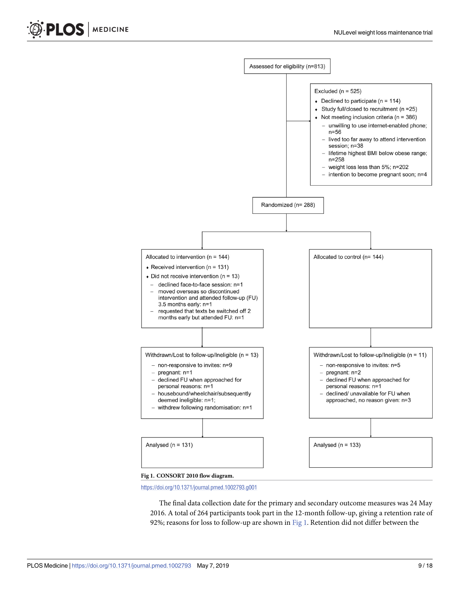

<https://doi.org/10.1371/journal.pmed.1002793.g001>

The final data collection date for the primary and secondary outcome measures was 24 May 2016. A total of 264 participants took part in the 12-month follow-up, giving a retention rate of 92%; reasons for loss to follow-up are shown in Fig 1. Retention did not differ between the

<span id="page-8-0"></span>PLOS | MEDICINE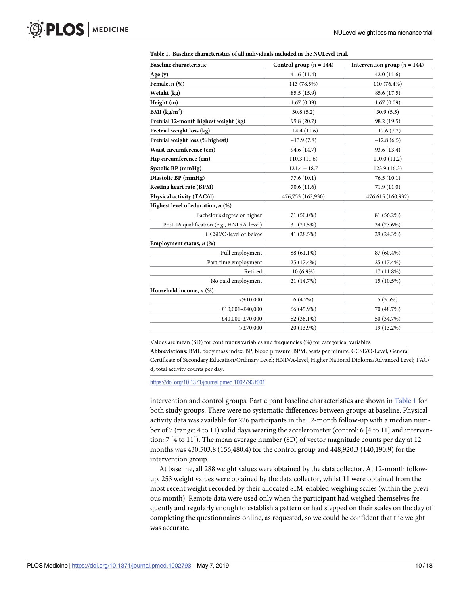| <b>Baseline</b> characteristic            | Control group ( $n = 144$ ) | Intervention group ( $n = 144$ ) |  |  |
|-------------------------------------------|-----------------------------|----------------------------------|--|--|
| Age $(y)$                                 | 41.6(11.4)                  | 42.0(11.6)                       |  |  |
| Female, $n$ $(\%)$                        | 113 (78.5%)                 | 110 (76.4%)                      |  |  |
| Weight (kg)                               | 85.5 (15.9)                 | 85.6 (17.5)                      |  |  |
| Height (m)                                | 1.67(0.09)                  | 1.67(0.09)                       |  |  |
| BMI $(kg/m2)$                             | 30.8(5.2)                   | 30.9(5.5)                        |  |  |
| Pretrial 12-month highest weight (kg)     | 99.8 (20.7)                 | 98.2 (19.5)                      |  |  |
| Pretrial weight loss (kg)                 | $-14.4(11.6)$               | $-12.6(7.2)$                     |  |  |
| Pretrial weight loss (% highest)          | $-13.9(7.8)$                | $-12.8(6.5)$                     |  |  |
| Waist circumference (cm)                  | 94.6 (14.7)                 | 93.6 (13.4)                      |  |  |
| Hip circumference (cm)                    | 110.3(11.6)                 | 110.0(11.2)                      |  |  |
| Systolic BP (mmHg)                        | $121.4 \pm 18.7$            | 123.9(16.3)                      |  |  |
| Diastolic BP (mmHg)                       | 77.6(10.1)                  | 76.5(10.1)                       |  |  |
| Resting heart rate (BPM)                  | 70.6 (11.6)                 | 71.9 (11.0)                      |  |  |
| Physical activity (TAC/d)                 | 476,753 (162,930)           | 476,615 (160,932)                |  |  |
| Highest level of education, $n$ (%)       |                             |                                  |  |  |
| Bachelor's degree or higher               | 71 (50.0%)                  | 81 (56.2%)                       |  |  |
| Post-16 qualification (e.g., HND/A-level) | 31 (21.5%)                  | 34 (23.6%)                       |  |  |
| GCSE/O-level or below                     | 41 (28.5%)                  | 29 (24.3%)                       |  |  |
| Employment status, $n$ (%)                |                             |                                  |  |  |
| Full employment                           | 88 (61.1%)                  | 87 (60.4%)                       |  |  |
| Part-time employment                      | 25 (17.4%)                  | 25 (17.4%)                       |  |  |
| Retired                                   | $10(6.9\%)$                 | 17 (11.8%)                       |  |  |
| No paid employment                        | 21 (14.7%)                  | 15 (10.5%)                       |  |  |
| Household income, $n$ (%)                 |                             |                                  |  |  |
| $<$ £10,000                               | $6(4.2\%)$                  | $5(3.5\%)$                       |  |  |
| £10,001-£40,000                           | 66 (45.9%)                  | 70 (48.7%)                       |  |  |
| £40,001-£70,000                           | 52 (36.1%)                  | 50 (34.7%)                       |  |  |
| $>\tE 70,000$                             | 20 (13.9%)                  | 19 (13.2%)                       |  |  |

| Table 1. Baseline characteristics of all individuals included in the NULevel trial. |  |
|-------------------------------------------------------------------------------------|--|
|-------------------------------------------------------------------------------------|--|

Values are mean (SD) for continuous variables and frequencies (%) for categorical variables. **Abbreviations:** BMI, body mass index; BP, blood pressure; BPM, beats per minute; GCSE/O-Level, General Certificate of Secondary Education/Ordinary Level; HND/A-level, Higher National Diploma/Advanced Level; TAC/ d, total activity counts per day.

#### <https://doi.org/10.1371/journal.pmed.1002793.t001>

intervention and control groups. Participant baseline characteristics are shown in Table 1 for both study groups. There were no systematic differences between groups at baseline. Physical activity data was available for 226 participants in the 12-month follow-up with a median number of 7 (range: 4 to 11) valid days wearing the accelerometer (control: 6 [4 to 11] and intervention: 7 [4 to 11]). The mean average number (SD) of vector magnitude counts per day at 12 months was 430,503.8 (156,480.4) for the control group and 448,920.3 (140,190.9) for the intervention group.

At baseline, all 288 weight values were obtained by the data collector. At 12-month followup, 253 weight values were obtained by the data collector, whilst 11 were obtained from the most recent weight recorded by their allocated SIM-enabled weighing scales (within the previous month). Remote data were used only when the participant had weighed themselves frequently and regularly enough to establish a pattern or had stepped on their scales on the day of completing the questionnaires online, as requested, so we could be confident that the weight was accurate.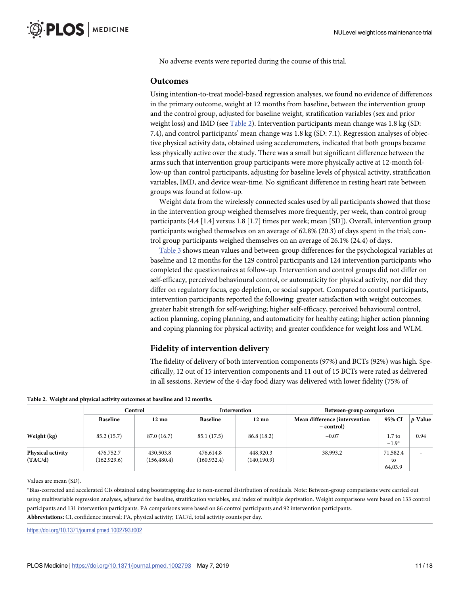<span id="page-10-0"></span>No adverse events were reported during the course of this trial.

#### **Outcomes**

Using intention-to-treat model-based regression analyses, we found no evidence of differences in the primary outcome, weight at 12 months from baseline, between the intervention group and the control group, adjusted for baseline weight, stratification variables (sex and prior weight loss) and IMD (see Table 2). Intervention participants mean change was 1.8 kg (SD: 7.4), and control participants' mean change was 1.8 kg (SD: 7.1). Regression analyses of objective physical activity data, obtained using accelerometers, indicated that both groups became less physically active over the study. There was a small but significant difference between the arms such that intervention group participants were more physically active at 12-month follow-up than control participants, adjusting for baseline levels of physical activity, stratification variables, IMD, and device wear-time. No significant difference in resting heart rate between groups was found at follow-up.

Weight data from the wirelessly connected scales used by all participants showed that those in the intervention group weighed themselves more frequently, per week, than control group participants (4.4 [1.4] versus 1.8 [1.7] times per week; mean [SD]). Overall, intervention group participants weighed themselves on an average of 62.8% (20.3) of days spent in the trial; control group participants weighed themselves on an average of 26.1% (24.4) of days.

[Table](#page-11-0) 3 shows mean values and between-group differences for the psychological variables at baseline and 12 months for the 129 control participants and 124 intervention participants who completed the questionnaires at follow-up. Intervention and control groups did not differ on self-efficacy, perceived behavioural control, or automaticity for physical activity, nor did they differ on regulatory focus, ego depletion, or social support. Compared to control participants, intervention participants reported the following: greater satisfaction with weight outcomes; greater habit strength for self-weighing; higher self-efficacy, perceived behavioural control, action planning, coping planning, and automaticity for healthy eating; higher action planning and coping planning for physical activity; and greater confidence for weight loss and WLM.

#### **Fidelity of intervention delivery**

The fidelity of delivery of both intervention components (97%) and BCTs (92%) was high. Specifically, 12 out of 15 intervention components and 11 out of 15 BCTs were rated as delivered in all sessions. Review of the 4-day food diary was delivered with lower fidelity (75% of

|  | Table 2. Weight and physical activity outcomes at baseline and 12 months. |  |  |  |  |  |
|--|---------------------------------------------------------------------------|--|--|--|--|--|
|--|---------------------------------------------------------------------------|--|--|--|--|--|

|                                     | Control                   |                           | Intervention              |                           | Between-group comparison                    |                           |         |
|-------------------------------------|---------------------------|---------------------------|---------------------------|---------------------------|---------------------------------------------|---------------------------|---------|
|                                     | <b>Baseline</b>           | $12 \text{ mo}$           | <b>Baseline</b>           | $12 \text{ mo}$           | Mean difference (intervention<br>– control) | 95% CI                    | p-Value |
| Weight (kg)                         | 85.2(15.7)                | 87.0 (16.7)               | 85.1 (17.5)               | 86.8 (18.2)               | $-0.07$                                     | $1.7$ to<br>$-1.9*$       | 0.94    |
| <b>Physical activity</b><br>(TAC/d) | 476,752.7<br>(162, 929.6) | 430,503.8<br>(156, 480.4) | 476,614.8<br>(160, 932.4) | 448,920.3<br>(140, 190.9) | 38,993.2                                    | 71,582.4<br>to<br>64,03.9 | -       |

Values are mean (SD).

�Bias-corrected and accelerated CIs obtained using bootstrapping due to non-normal distribution of residuals. Note: Between-group comparisons were carried out using multivariable regression analyses, adjusted for baseline, stratification variables, and index of multiple deprivation. Weight comparisons were based on 133 control participants and 131 intervention participants. PA comparisons were based on 86 control participants and 92 intervention participants. **Abbreviations:** CI, confidence interval; PA, physical activity; TAC/d, total activity counts per day.

<https://doi.org/10.1371/journal.pmed.1002793.t002>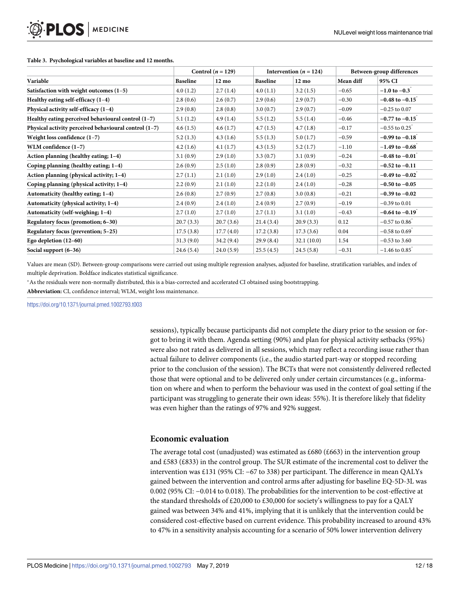|                                                       | Control $(n = 129)$ |                 | Intervention ( $n = 124$ ) |                 | Between-group differences |                                 |
|-------------------------------------------------------|---------------------|-----------------|----------------------------|-----------------|---------------------------|---------------------------------|
| Variable                                              | <b>Baseline</b>     | $12 \text{ mo}$ | <b>Baseline</b>            | $12 \text{ mo}$ | Mean diff                 | 95% CI                          |
| Satisfaction with weight outcomes (1-5)               | 4.0(1.2)            | 2.7(1.4)        | 4.0(1.1)                   | 3.2(1.5)        | $-0.65$                   | $-1.0$ to $-0.3$ <sup>*</sup>   |
| Healthy eating self-efficacy $(1-4)$                  | 2.8(0.6)            | 2.6(0.7)        | 2.9(0.6)                   | 2.9(0.7)        | $-0.30$                   | $-0.48$ to $-0.15$              |
| Physical activity self-efficacy (1-4)                 | 2.9(0.8)            | 2.8(0.8)        | 3.0(0.7)                   | 2.9(0.7)        | $-0.09$                   | $-0.25$ to 0.07                 |
| Healthy eating perceived behavioural control (1-7)    | 5.1(1.2)            | 4.9(1.4)        | 5.5(1.2)                   | 5.5(1.4)        | $-0.46$                   | $-0.77$ to $-0.15$ <sup>*</sup> |
| Physical activity perceived behavioural control (1-7) | 4.6(1.5)            | 4.6(1.7)        | 4.7(1.5)                   | 4.7(1.8)        | $-0.17$                   | $-0.55$ to $0.25$ <sup>*</sup>  |
| Weight loss confidence $(1-7)$                        | 5.2(1.3)            | 4.3(1.6)        | 5.5(1.3)                   | 5.0(1.7)        | $-0.59$                   | $-0.99$ to $-0.18$              |
| WLM confidence (1-7)                                  | 4.2(1.6)            | 4.1(1.7)        | 4.3(1.5)                   | 5.2(1.7)        | $-1.10$                   | $-1.49$ to $-0.68$ <sup>*</sup> |
| Action planning (healthy eating; 1-4)                 | 3.1(0.9)            | 2.9(1.0)        | 3.3(0.7)                   | 3.1(0.9)        | $-0.24$                   | $-0.48$ to $-0.01$ <sup>*</sup> |
| Coping planning (healthy eating; 1–4)                 | 2.6(0.9)            | 2.5(1.0)        | 2.8(0.9)                   | 2.8(0.9)        | $-0.32$                   | $-0.52$ to $-0.11$              |
| Action planning (physical activity; 1–4)              | 2.7(1.1)            | 2.1(1.0)        | 2.9(1.0)                   | 2.4(1.0)        | $-0.25$                   | $-0.49$ to $-0.02$              |
| Coping planning (physical activity; 1-4)              | 2.2(0.9)            | 2.1(1.0)        | 2.2(1.0)                   | 2.4(1.0)        | $-0.28$                   | $-0.50$ to $-0.05$              |
| Automaticity (healthy eating; 1-4)                    | 2.6(0.8)            | 2.7(0.9)        | 2.7(0.8)                   | 3.0(0.8)        | $-0.21$                   | $-0.39$ to $-0.02$              |
| Automaticity (physical activity; 1-4)                 | 2.4(0.9)            | 2.4(1.0)        | 2.4(0.9)                   | 2.7(0.9)        | $-0.19$                   | $-0.39$ to $0.01$               |
| Automaticity (self-weighing; 1-4)                     | 2.7(1.0)            | 2.7(1.0)        | 2.7(1.1)                   | 3.1(1.0)        | $-0.43$                   | $-0.64$ to $-0.19$              |
| Regulatory focus (promotion; 6–30)                    | 20.7(3.3)           | 20.7(3.6)       | 21.4(3.4)                  | 20.9(3.3)       | 0.12                      | $-0.57$ to $0.86$               |
| Regulatory focus (prevention; 5–25)                   | 17.5(3.8)           | 17.7(4.0)       | 17.2(3.8)                  | 17.3(3.6)       | 0.04                      | $-0.58$ to $0.69$ <sup>*</sup>  |
| Ego depletion $(12-60)$                               | 31.3(9.0)           | 34.2(9.4)       | 29.9(8.4)                  | 32.1(10.0)      | 1.54                      | $-0.53$ to 3.60                 |
| Social support $(6-36)$                               | 24.6(5.4)           | 24.0(5.9)       | 25.5(4.5)                  | 24.5(5.8)       | $-0.31$                   | $-1.46$ to $0.85$               |

#### <span id="page-11-0"></span>**[Table](#page-10-0) 3. Psychological variables at baseline and 12 months.**

Values are mean (SD). Between-group comparisons were carried out using multiple regression analyses, adjusted for baseline, stratification variables, and index of multiple deprivation. Boldface indicates statistical significance.

�As the residuals were non-normally distributed, this is a bias-corrected and accelerated CI obtained using bootstrapping.

**Abbreviation:** CI, confidence interval; WLM, weight loss maintenance.

<https://doi.org/10.1371/journal.pmed.1002793.t003>

sessions), typically because participants did not complete the diary prior to the session or forgot to bring it with them. Agenda setting (90%) and plan for physical activity setbacks (95%) were also not rated as delivered in all sessions, which may reflect a recording issue rather than actual failure to deliver components (i.e., the audio started part-way or stopped recording prior to the conclusion of the session). The BCTs that were not consistently delivered reflected those that were optional and to be delivered only under certain circumstances (e.g., information on where and when to perform the behaviour was used in the context of goal setting if the participant was struggling to generate their own ideas: 55%). It is therefore likely that fidelity was even higher than the ratings of 97% and 92% suggest.

## **Economic evaluation**

The average total cost (unadjusted) was estimated as £680 (£663) in the intervention group and £583 (£833) in the control group. The SUR estimate of the incremental cost to deliver the intervention was £131 (95% CI: −67 to 338) per participant. The difference in mean QALYs gained between the intervention and control arms after adjusting for baseline EQ-5D-3L was 0.002 (95% CI: −0.014 to 0.018). The probabilities for the intervention to be cost-effective at the standard thresholds of  $£20,000$  to  $£30,000$  for society's willingness to pay for a OALY gained was between 34% and 41%, implying that it is unlikely that the intervention could be considered cost-effective based on current evidence. This probability increased to around 43% to 47% in a sensitivity analysis accounting for a scenario of 50% lower intervention delivery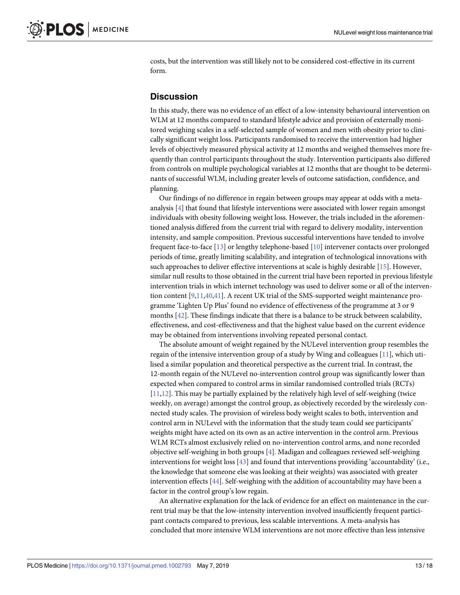<span id="page-12-0"></span>costs, but the intervention was still likely not to be considered cost-effective in its current form.

## **Discussion**

In this study, there was no evidence of an effect of a low-intensity behavioural intervention on WLM at 12 months compared to standard lifestyle advice and provision of externally monitored weighing scales in a self-selected sample of women and men with obesity prior to clinically significant weight loss. Participants randomised to receive the intervention had higher levels of objectively measured physical activity at 12 months and weighed themselves more frequently than control participants throughout the study. Intervention participants also differed from controls on multiple psychological variables at 12 months that are thought to be determinants of successful WLM, including greater levels of outcome satisfaction, confidence, and planning.

Our findings of no difference in regain between groups may appear at odds with a metaanalysis [[4](#page-15-0)] that found that lifestyle interventions were associated with lower regain amongst individuals with obesity following weight loss. However, the trials included in the aforementioned analysis differed from the current trial with regard to delivery modality, intervention intensity, and sample composition. Previous successful interventions have tended to involve frequent face-to-face [\[13\]](#page-15-0) or lengthy telephone-based [[10](#page-15-0)] intervener contacts over prolonged periods of time, greatly limiting scalability, and integration of technological innovations with such approaches to deliver effective interventions at scale is highly desirable [\[15\]](#page-15-0). However, similar null results to those obtained in the current trial have been reported in previous lifestyle intervention trials in which internet technology was used to deliver some or all of the intervention content [\[9](#page-15-0),[11](#page-15-0)[,40,41\]](#page-17-0). A recent UK trial of the SMS-supported weight maintenance programme 'Lighten Up Plus' found no evidence of effectiveness of the programme at 3 or 9 months [\[42\]](#page-17-0). These findings indicate that there is a balance to be struck between scalability, effectiveness, and cost-effectiveness and that the highest value based on the current evidence may be obtained from interventions involving repeated personal contact.

The absolute amount of weight regained by the NULevel intervention group resembles the regain of the intensive intervention group of a study by Wing and colleagues [[11](#page-15-0)], which utilised a similar population and theoretical perspective as the current trial. In contrast, the 12-month regain of the NULevel no-intervention control group was significantly lower than expected when compared to control arms in similar randomised controlled trials (RCTs) [\[11,12\]](#page-15-0). This may be partially explained by the relatively high level of self-weighing (twice weekly, on average) amongst the control group, as objectively recorded by the wirelessly connected study scales. The provision of wireless body weight scales to both, intervention and control arm in NULevel with the information that the study team could see participants' weights might have acted on its own as an active intervention in the control arm. Previous WLM RCTs almost exclusively relied on no-intervention control arms, and none recorded objective self-weighing in both groups [\[4\]](#page-15-0). Madigan and colleagues reviewed self-weighing interventions for weight loss [\[43\]](#page-17-0) and found that interventions providing 'accountability' (i.e., the knowledge that someone else was looking at their weights) was associated with greater intervention effects [\[44\]](#page-17-0). Self-weighing with the addition of accountability may have been a factor in the control group's low regain.

An alternative explanation for the lack of evidence for an effect on maintenance in the current trial may be that the low-intensity intervention involved insufficiently frequent participant contacts compared to previous, less scalable interventions. A meta-analysis has concluded that more intensive WLM interventions are not more effective than less intensive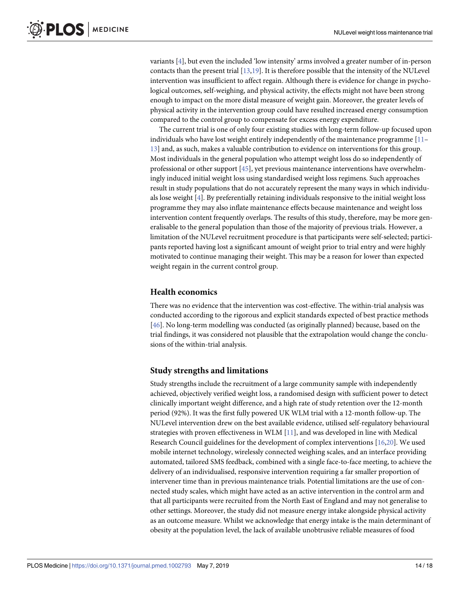<span id="page-13-0"></span>variants [\[4](#page-15-0)], but even the included 'low intensity' arms involved a greater number of in-person contacts than the present trial [[13](#page-15-0)[,19\]](#page-16-0). It is therefore possible that the intensity of the NULevel intervention was insufficient to affect regain. Although there is evidence for change in psychological outcomes, self-weighing, and physical activity, the effects might not have been strong enough to impact on the more distal measure of weight gain. Moreover, the greater levels of physical activity in the intervention group could have resulted increased energy consumption compared to the control group to compensate for excess energy expenditure.

The current trial is one of only four existing studies with long-term follow-up focused upon individuals who have lost weight entirely independently of the maintenance programme  $[11 [11 [11-$ [13\]](#page-15-0) and, as such, makes a valuable contribution to evidence on interventions for this group. Most individuals in the general population who attempt weight loss do so independently of professional or other support [[45](#page-17-0)], yet previous maintenance interventions have overwhelmingly induced initial weight loss using standardised weight loss regimens. Such approaches result in study populations that do not accurately represent the many ways in which individuals lose weight [\[4](#page-15-0)]. By preferentially retaining individuals responsive to the initial weight loss programme they may also inflate maintenance effects because maintenance and weight loss intervention content frequently overlaps. The results of this study, therefore, may be more generalisable to the general population than those of the majority of previous trials. However, a limitation of the NULevel recruitment procedure is that participants were self-selected; participants reported having lost a significant amount of weight prior to trial entry and were highly motivated to continue managing their weight. This may be a reason for lower than expected weight regain in the current control group.

#### **Health economics**

There was no evidence that the intervention was cost-effective. The within-trial analysis was conducted according to the rigorous and explicit standards expected of best practice methods [\[46\]](#page-17-0). No long-term modelling was conducted (as originally planned) because, based on the trial findings, it was considered not plausible that the extrapolation would change the conclusions of the within-trial analysis.

#### **Study strengths and limitations**

Study strengths include the recruitment of a large community sample with independently achieved, objectively verified weight loss, a randomised design with sufficient power to detect clinically important weight difference, and a high rate of study retention over the 12-month period (92%). It was the first fully powered UK WLM trial with a 12-month follow-up. The NULevel intervention drew on the best available evidence, utilised self-regulatory behavioural strategies with proven effectiveness in WLM [[11](#page-15-0)], and was developed in line with Medical Research Council guidelines for the development of complex interventions [[16](#page-15-0)[,20\]](#page-16-0). We used mobile internet technology, wirelessly connected weighing scales, and an interface providing automated, tailored SMS feedback, combined with a single face-to-face meeting, to achieve the delivery of an individualised, responsive intervention requiring a far smaller proportion of intervener time than in previous maintenance trials. Potential limitations are the use of connected study scales, which might have acted as an active intervention in the control arm and that all participants were recruited from the North East of England and may not generalise to other settings. Moreover, the study did not measure energy intake alongside physical activity as an outcome measure. Whilst we acknowledge that energy intake is the main determinant of obesity at the population level, the lack of available unobtrusive reliable measures of food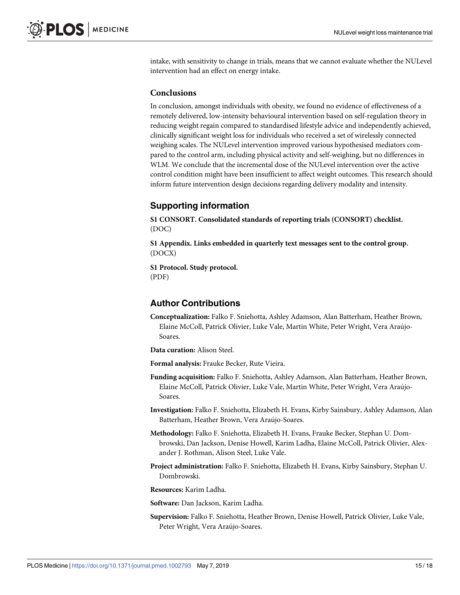intake, with sensitivity to change in trials, means that we cannot evaluate whether the NULevel intervention had an effect on energy intake.

#### **Conclusions**

In conclusion, amongst individuals with obesity, we found no evidence of effectiveness of a remotely delivered, low-intensity behavioural intervention based on self-regulation theory in reducing weight regain compared to standardised lifestyle advice and independently achieved, clinically significant weight loss for individuals who received a set of wirelessly connected weighing scales. The NULevel intervention improved various hypothesised mediators compared to the control arm, including physical activity and self-weighing, but no differences in WLM. We conclude that the incremental dose of the NULevel intervention over the active control condition might have been insufficient to affect weight outcomes. This research should inform future intervention design decisions regarding delivery modality and intensity.

## **Supporting information**

**S1 [CONSORT](http://journals.plos.org/plosmedicine/article/asset?unique&id=info:doi/10.1371/journal.pmed.1002793.s001). Consolidated standards of reporting trials (CONSORT) checklist.** (DOC)

**S1 [Appendix](http://journals.plos.org/plosmedicine/article/asset?unique&id=info:doi/10.1371/journal.pmed.1002793.s002). Links embedded in quarterly text messages sent to the control group.** (DOCX)

**S1 [Protocol](http://journals.plos.org/plosmedicine/article/asset?unique&id=info:doi/10.1371/journal.pmed.1002793.s003). Study protocol.** (PDF)

## **Author Contributions**

- **Conceptualization:** Falko F. Sniehotta, Ashley Adamson, Alan Batterham, Heather Brown, Elaine McColl, Patrick Olivier, Luke Vale, Martin White, Peter Wright, Vera Araújo-Soares.
- **Data curation:** Alison Steel.

**Formal analysis:** Frauke Becker, Rute Vieira.

- **Funding acquisition:** Falko F. Sniehotta, Ashley Adamson, Alan Batterham, Heather Brown, Elaine McColl, Patrick Olivier, Luke Vale, Martin White, Peter Wright, Vera Arau´jo-Soares.
- **Investigation:** Falko F. Sniehotta, Elizabeth H. Evans, Kirby Sainsbury, Ashley Adamson, Alan Batterham, Heather Brown, Vera Araújo-Soares.
- **Methodology:** Falko F. Sniehotta, Elizabeth H. Evans, Frauke Becker, Stephan U. Dombrowski, Dan Jackson, Denise Howell, Karim Ladha, Elaine McColl, Patrick Olivier, Alexander J. Rothman, Alison Steel, Luke Vale.
- **Project administration:** Falko F. Sniehotta, Elizabeth H. Evans, Kirby Sainsbury, Stephan U. Dombrowski.

**Resources:** Karim Ladha.

**Software:** Dan Jackson, Karim Ladha.

**Supervision:** Falko F. Sniehotta, Heather Brown, Denise Howell, Patrick Olivier, Luke Vale, Peter Wright, Vera Araújo-Soares.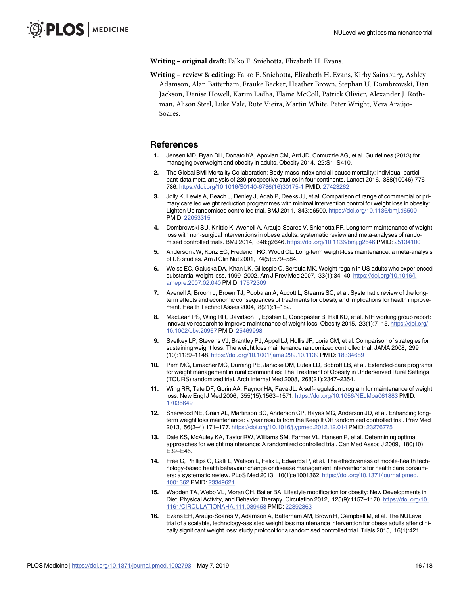<span id="page-15-0"></span>**Writing – original draft:** Falko F. Sniehotta, Elizabeth H. Evans.

**Writing – review & editing:** Falko F. Sniehotta, Elizabeth H. Evans, Kirby Sainsbury, Ashley Adamson, Alan Batterham, Frauke Becker, Heather Brown, Stephan U. Dombrowski, Dan Jackson, Denise Howell, Karim Ladha, Elaine McColl, Patrick Olivier, Alexander J. Rothman, Alison Steel, Luke Vale, Rute Vieira, Martin White, Peter Wright, Vera Arau´jo-Soares.

#### **References**

- **[1](#page-2-0).** Jensen MD, Ryan DH, Donato KA, Apovian CM, Ard JD, Comuzzie AG, et al. Guidelines (2013) for managing overweight and obesity in adults. Obesity 2014, 22:S1–S410.
- **[2](#page-2-0).** The Global BMI Mortality Collaboration: Body-mass index and all-cause mortality: individual-participant-data meta-analysis of 239 prospective studies in four continents. Lancet 2016, 388(10046):776– 786. [https://doi.org/10.1016/S0140-6736\(16\)30175-1](https://doi.org/10.1016/S0140-6736(16)30175-1) PMID: [27423262](http://www.ncbi.nlm.nih.gov/pubmed/27423262)
- **[3](#page-2-0).** Jolly K, Lewis A, Beach J, Denley J, Adab P, Deeks JJ, et al. Comparison of range of commercial or primary care led weight reduction programmes with minimal intervention control for weight loss in obesity: Lighten Up randomised controlled trial. BMJ 2011, 343:d6500. <https://doi.org/10.1136/bmj.d6500> PMID: [22053315](http://www.ncbi.nlm.nih.gov/pubmed/22053315)
- **[4](#page-2-0).** Dombrowski SU, Knittle K, Avenell A, Araujo-Soares V, Sniehotta FF. Long term maintenance of weight loss with non-surgical interventions in obese adults: systematic review and meta-analyses of randomised controlled trials. BMJ 2014, 348:g2646. <https://doi.org/10.1136/bmj.g2646> PMID: [25134100](http://www.ncbi.nlm.nih.gov/pubmed/25134100)
- **[5](#page-2-0).** Anderson JW, Konz EC, Frederich RC, Wood CL. Long-term weight-loss maintenance: a meta-analysis of US studies. Am J Clin Nut 2001, 74(5):579–584.
- **[6](#page-2-0).** Weiss EC, Galuska DA, Khan LK, Gillespie C, Serdula MK. Weight regain in US adults who experienced substantial weight loss, 1999–2002. Am J Prev Med 2007, 33(1):34–40. [https://doi.org/10.1016/j.](https://doi.org/10.1016/j.amepre.2007.02.040) [amepre.2007.02.040](https://doi.org/10.1016/j.amepre.2007.02.040) PMID: [17572309](http://www.ncbi.nlm.nih.gov/pubmed/17572309)
- **[7](#page-2-0).** Avenell A, Broom J, Brown TJ, Poobalan A, Aucott L, Stearns SC, et al. Systematic review of the longterm effects and economic consequences of treatments for obesity and implications for health improvement. Health Technol Asses 2004, 8(21):1–182.
- **[8](#page-2-0).** MacLean PS, Wing RR, Davidson T, Epstein L, Goodpaster B, Hall KD, et al. NIH working group report: innovative research to improve maintenance of weight loss. Obesity 2015, 23(1):7–15. [https://doi.org/](https://doi.org/10.1002/oby.20967) [10.1002/oby.20967](https://doi.org/10.1002/oby.20967) PMID: [25469998](http://www.ncbi.nlm.nih.gov/pubmed/25469998)
- **[9](#page-2-0).** Svetkey LP, Stevens VJ, Brantley PJ, Appel LJ, Hollis JF, Loria CM, et al. Comparison of strategies for sustaining weight loss: The weight loss maintenance randomized controlled trial. JAMA 2008, 299 (10):1139–1148. <https://doi.org/10.1001/jama.299.10.1139> PMID: [18334689](http://www.ncbi.nlm.nih.gov/pubmed/18334689)
- **[10](#page-2-0).** Perri MG, Limacher MC, Durning PE, Janicke DM, Lutes LD, Bobroff LB, et al. Extended-care programs for weight management in rural communities: The Treatment of Obesity in Underserved Rural Settings (TOURS) randomized trial. Arch Internal Med 2008, 268(21):2347–2354.
- **[11](#page-2-0).** Wing RR, Tate DF, Gorin AA, Raynor HA, Fava JL. A self-regulation program for maintenance of weight loss. New Engl J Med 2006, 355(15):1563–1571. <https://doi.org/10.1056/NEJMoa061883> PMID: [17035649](http://www.ncbi.nlm.nih.gov/pubmed/17035649)
- **[12](#page-3-0).** Sherwood NE, Crain AL, Martinson BC, Anderson CP, Hayes MG, Anderson JD, et al. Enhancing longterm weight loss maintenance: 2 year results from the Keep It Off randomized controlled trial. Prev Med 2013, 56(3–4):171–177. <https://doi.org/10.1016/j.ypmed.2012.12.014> PMID: [23276775](http://www.ncbi.nlm.nih.gov/pubmed/23276775)
- **[13](#page-2-0).** Dale KS, McAuley KA, Taylor RW, Williams SM, Farmer VL, Hansen P, et al. Determining optimal approaches for weight maintenance: A randomized controlled trial. Can Med Assoc J 2009, 180(10): E39–E46.
- **[14](#page-2-0).** Free C, Phillips G, Galli L, Watson L, Felix L, Edwards P, et al. The effectiveness of mobile-health technology-based health behaviour change or disease management interventions for health care consumers: a systematic review. PLoS Med 2013, 10(1):e1001362. [https://doi.org/10.1371/journal.pmed.](https://doi.org/10.1371/journal.pmed.1001362) [1001362](https://doi.org/10.1371/journal.pmed.1001362) PMID: [23349621](http://www.ncbi.nlm.nih.gov/pubmed/23349621)
- **[15](#page-2-0).** Wadden TA, Webb VL, Moran CH, Bailer BA. Lifestyle modification for obesity: New Developments in Diet, Physical Activity, and Behavior Therapy. Circulation 2012, 125(9):1157–1170. [https://doi.org/10.](https://doi.org/10.1161/CIRCULATIONAHA.111.039453) [1161/CIRCULATIONAHA.111.039453](https://doi.org/10.1161/CIRCULATIONAHA.111.039453) PMID: [22392863](http://www.ncbi.nlm.nih.gov/pubmed/22392863)
- **[16](#page-2-0).** Evans EH, Arau´jo-Soares V, Adamson A, Batterham AM, Brown H, Campbell M, et al. The NULevel trial of a scalable, technology-assisted weight loss maintenance intervention for obese adults after clinically significant weight loss: study protocol for a randomised controlled trial. Trials 2015, 16(1):421.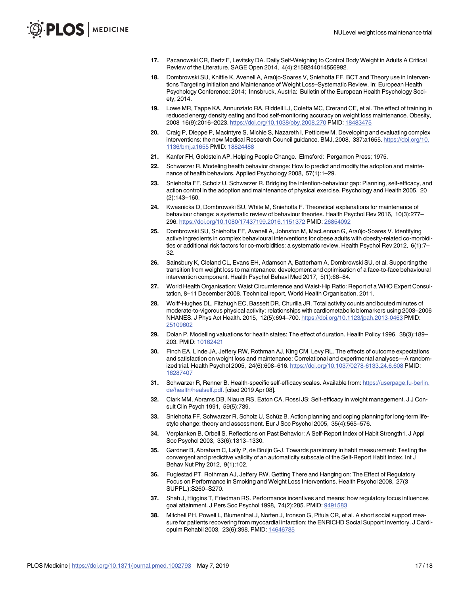- <span id="page-16-0"></span>**[17](#page-3-0).** Pacanowski CR, Bertz F, Levitsky DA. Daily Self-Weighing to Control Body Weight in Adults A Critical Review of the Literature. SAGE Open 2014, 4(4):2158244014556992.
- **[18](#page-3-0).** Dombrowski SU, Knittle K, Avenell A, Araújo-Soares V, Sniehotta FF. BCT and Theory use in Interventions Targeting Initiation and Maintenance of Weight Loss–Systematic Review. In: European Health Psychology Conference: 2014; Innsbruck, Austria: Bulletin of the European Health Psychology Society; 2014.
- **[19](#page-3-0).** Lowe MR, Tappe KA, Annunziato RA, Riddell LJ, Coletta MC, Crerand CE, et al. The effect of training in reduced energy density eating and food self-monitoring accuracy on weight loss maintenance. Obesity, 2008 16(9):2016–2023. <https://doi.org/10.1038/oby.2008.270> PMID: [18483475](http://www.ncbi.nlm.nih.gov/pubmed/18483475)
- **[20](#page-4-0).** Craig P, Dieppe P, Macintyre S, Michie S, Nazareth I, Petticrew M. Developing and evaluating complex interventions: the new Medical Research Council guidance. BMJ, 2008, 337:a1655. [https://doi.org/10.](https://doi.org/10.1136/bmj.a1655) [1136/bmj.a1655](https://doi.org/10.1136/bmj.a1655) PMID: [18824488](http://www.ncbi.nlm.nih.gov/pubmed/18824488)
- **[21](#page-4-0).** Kanfer FH, Goldstein AP. Helping People Change. Elmsford: Pergamon Press; 1975.
- **[22](#page-4-0).** Schwarzer R. Modeling health behavior change: How to predict and modify the adoption and maintenance of health behaviors. Applied Psychology 2008, 57(1):1–29.
- **[23](#page-4-0).** Sniehotta FF, Scholz U, Schwarzer R. Bridging the intention-behaviour gap: Planning, self-efficacy, and action control in the adoption and maintenance of physical exercise. Psychology and Health 2005, 20 (2):143–160.
- **[24](#page-4-0).** Kwasnicka D, Dombrowski SU, White M, Sniehotta F. Theoretical explanations for maintenance of behaviour change: a systematic review of behaviour theories. Health Psychol Rev 2016, 10(3):277– 296. <https://doi.org/10.1080/17437199.2016.1151372> PMID: [26854092](http://www.ncbi.nlm.nih.gov/pubmed/26854092)
- **[25](#page-4-0).** Dombrowski SU, Sniehotta FF, Avenell A, Johnston M, MacLennan G, Arau´jo-Soares V. Identifying active ingredients in complex behavioural interventions for obese adults with obesity-related co-morbidities or additional risk factors for co-morbidities: a systematic review. Health Psychol Rev 2012, 6(1):7-32.
- **[26](#page-5-0).** Sainsbury K, Cleland CL, Evans EH, Adamson A, Batterham A, Dombrowski SU, et al. Supporting the transition from weight loss to maintenance: development and optimisation of a face-to-face behavioural intervention component. Health Psychol Behavl Med 2017, 5(1):66–84.
- **[27](#page-6-0).** World Health Organisation: Waist Circumference and Waist-Hip Ratio: Report of a WHO Expert Consultation, 8–11 December 2008. Technical report, World Health Organisation. 2011.
- **[28](#page-6-0).** Wolff-Hughes DL, Fitzhugh EC, Bassett DR, Churilla JR. Total activity counts and bouted minutes of moderate-to-vigorous physical activity: relationships with cardiometabolic biomarkers using 2003–2006 NHANES. J Phys Act Health. 2015, 12(5):694–700. <https://doi.org/10.1123/jpah.2013-0463> PMID: [25109602](http://www.ncbi.nlm.nih.gov/pubmed/25109602)
- **[29](#page-6-0).** Dolan P. Modelling valuations for health states: The effect of duration. Health Policy 1996, 38(3):189– 203. PMID: [10162421](http://www.ncbi.nlm.nih.gov/pubmed/10162421)
- **[30](#page-6-0).** Finch EA, Linde JA, Jeffery RW, Rothman AJ, King CM, Levy RL. The effects of outcome expectations and satisfaction on weight loss and maintenance: Correlational and experimental analyses—A randomized trial. Health Psychol 2005, 24(6):608–616. <https://doi.org/10.1037/0278-6133.24.6.608> PMID: [16287407](http://www.ncbi.nlm.nih.gov/pubmed/16287407)
- **[31](#page-6-0).** Schwarzer R, Renner B. Health-specific self-efficacy scales. Available from: [https://userpage.fu-berlin.](https://userpage.fu-berlin.de/health/healself.pdf) [de/health/healself.pdf](https://userpage.fu-berlin.de/health/healself.pdf). [cited 2019 Apr 08].
- **[32](#page-6-0).** Clark MM, Abrams DB, Niaura RS, Eaton CA, Rossi JS: Self-efficacy in weight management. J J Consult Clin Psych 1991, 59(5):739.
- **[33](#page-6-0).** Sniehotta FF, Schwarzer R, Scholz U, Schüz B. Action planning and coping planning for long-term lifestyle change: theory and assessment. Eur J Soc Psychol 2005, 35(4):565–576.
- **[34](#page-6-0).** Verplanken B, Orbell S. Reflections on Past Behavior: A Self-Report Index of Habit Strength1. J Appl Soc Psychol 2003, 33(6):1313–1330.
- **[35](#page-6-0).** Gardner B, Abraham C, Lally P, de Bruijn G-J. Towards parsimony in habit measurement: Testing the convergent and predictive validity of an automaticity subscale of the Self-Report Habit Index. Int J Behav Nut Phy 2012, 9(1):102.
- **[36](#page-6-0).** Fuglestad PT, Rothman AJ, Jeffery RW. Getting There and Hanging on: The Effect of Regulatory Focus on Performance in Smoking and Weight Loss Interventions. Health Psychol 2008, 27(3 SUPPL.):S260–S270.
- **[37](#page-6-0).** Shah J, Higgins T, Friedman RS. Performance incentives and means: how regulatory focus influences goal attainment. J Pers Soc Psychol 1998, 74(2):285. PMID: [9491583](http://www.ncbi.nlm.nih.gov/pubmed/9491583)
- **[38](#page-6-0).** Mitchell PH, Powell L, Blumenthal J, Norten J, Ironson G, Pitula CR, et al. A short social support measure for patients recovering from myocardial infarction: the ENRICHD Social Support Inventory. J Cardiopulm Rehabil 2003, 23(6):398. PMID: [14646785](http://www.ncbi.nlm.nih.gov/pubmed/14646785)